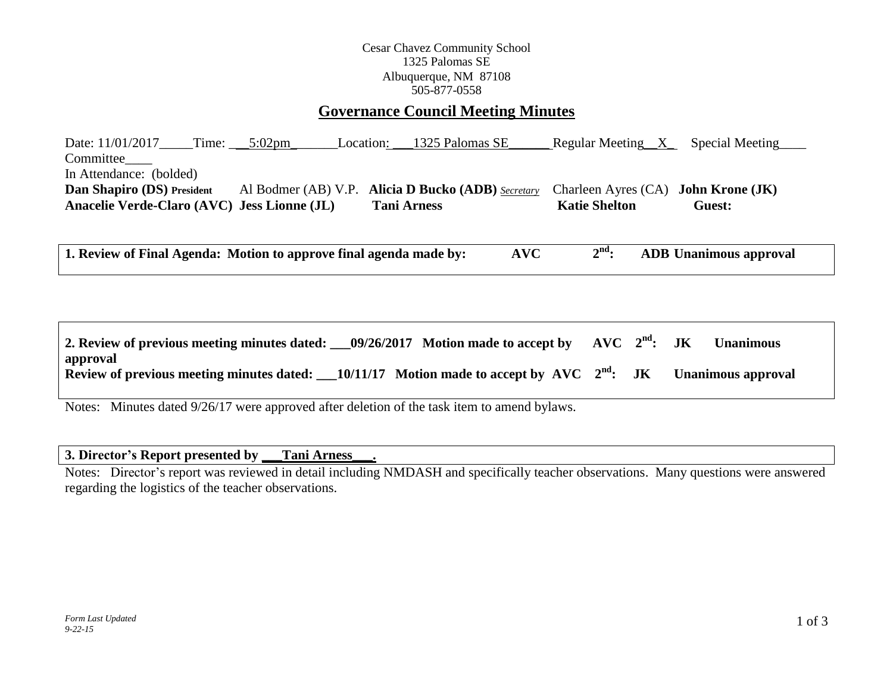### Cesar Chavez Community School 1325 Palomas SE Albuquerque, NM 87108 505-877-0558

## **Governance Council Meeting Minutes**

Date: 11/01/2017\_\_\_\_\_Time: \_\_\_\_5:02pm Location: \_\_\_1325 Palomas SE\_\_\_\_\_\_\_ Regular Meeting\_\_X\_\_\_ Special Meeting Committee In Attendance: (bolded) **Dan Shapiro (DS) President** Al Bodmer (AB) V.P. **Alicia D Bucko (ADB)** *Secretary* Charleen Ayres (CA) **John Krone (JK)** Anacelie Verde-Claro (AVC) Jess Lionne (JL) Tani Arness Katie Shelton Guest:

**1. Review of Final Agenda: Motion to approve final agenda made by: AVC 2 nd: ADB Unanimous approval**

| 2. Review of previous meeting minutes dated: $09/26/2017$ Motion made to accept by AVC $2nd$ : JK            |  |  | <b>Unanimous</b>          |
|--------------------------------------------------------------------------------------------------------------|--|--|---------------------------|
| approval<br>Review of previous meeting minutes dated: $\_\_10/11/17$ Motion made to accept by AVC $2nd$ : JK |  |  | <b>Unanimous approval</b> |

Notes: Minutes dated 9/26/17 were approved after deletion of the task item to amend bylaws.

### **3. Director's Report presented by \_\_\_Tani Arness\_\_\_.**

Notes: Director's report was reviewed in detail including NMDASH and specifically teacher observations. Many questions were answered regarding the logistics of the teacher observations.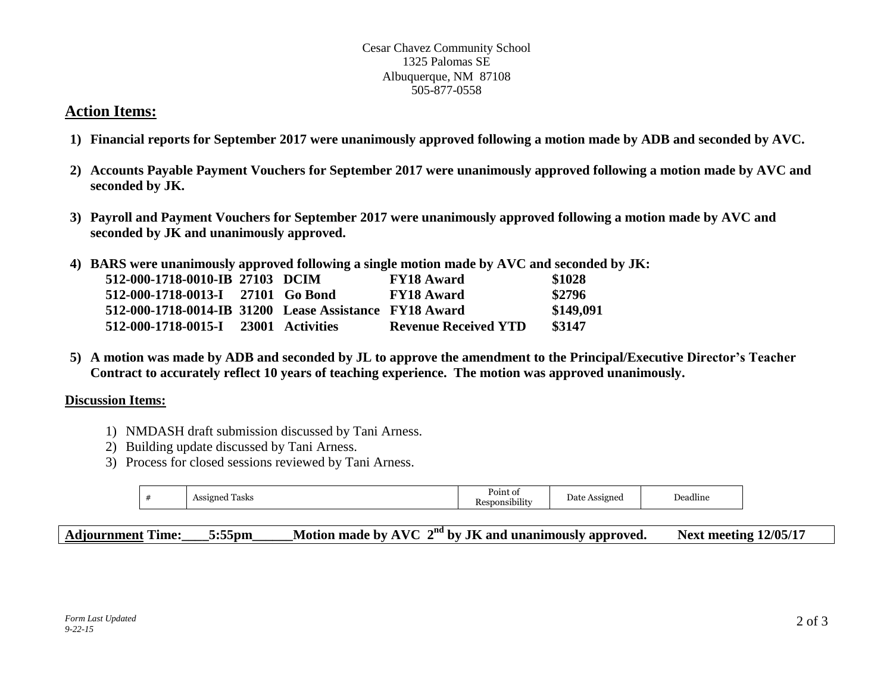#### Cesar Chavez Community School 1325 Palomas SE Albuquerque, NM 87108 505-877-0558

# **Action Items:**

- **1) Financial reports for September 2017 were unanimously approved following a motion made by ADB and seconded by AVC.**
- **2) Accounts Payable Payment Vouchers for September 2017 were unanimously approved following a motion made by AVC and seconded by JK.**
- **3) Payroll and Payment Vouchers for September 2017 were unanimously approved following a motion made by AVC and seconded by JK and unanimously approved.**
- **4) BARS were unanimously approved following a single motion made by AVC and seconded by JK:**

| 512-000-1718-0010-IB 27103 DCIM                        |  | <b>FY18 Award</b>           | \$1028    |
|--------------------------------------------------------|--|-----------------------------|-----------|
| 512-000-1718-0013-I 27101 Go Bond                      |  | <b>FY18 Award</b>           | \$2796    |
| 512-000-1718-0014-IB 31200 Lease Assistance FY18 Award |  |                             | \$149,091 |
| 512-000-1718-0015-I 23001 Activities                   |  | <b>Revenue Received YTD</b> | \$3147    |

**5) A motion was made by ADB and seconded by JL to approve the amendment to the Principal/Executive Director's Teacher Contract to accurately reflect 10 years of teaching experience. The motion was approved unanimously.**

# **Discussion Items:**

- 1) NMDASH draft submission discussed by Tani Arness.
- 2) Building update discussed by Tani Arness.
- 3) Process for closed sessions reviewed by Tani Arness.

| <br>$\cdot$<br>ssigned)<br>l'asks<br>eadline.<br>0010<br>Jate<br>∠nec'<br><br>.<br>__<br>$\sim$ |  |  | $P_{\rm OIII}$ |  |  |
|-------------------------------------------------------------------------------------------------|--|--|----------------|--|--|
|-------------------------------------------------------------------------------------------------|--|--|----------------|--|--|

**Adjournment Time:\_\_\_\_5:55pm\_\_\_\_\_\_Motion made by AVC 2 nd by JK and unanimously approved. Next meeting 12/05/17**